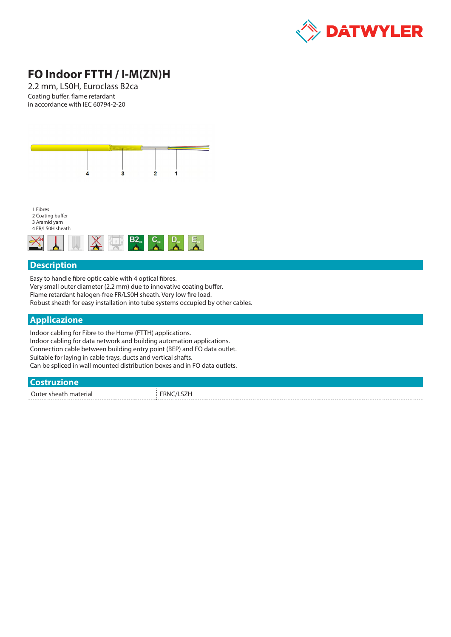

# **FO Indoor FTTH / I-M(ZN)H**

2.2 mm, LS0H, Euroclass B2ca Coating buffer, flame retardant in accordance with IEC 60794-2-20



1 Fibres 2 Coating buffer 3 Aramid yarn



### **Description**

Easy to handle fibre optic cable with 4 optical fibres. Very small outer diameter (2.2 mm) due to innovative coating buffer. Flame retardant halogen-free FR/LS0H sheath. Very low fire load. Robust sheath for easy installation into tube systems occupied by other cables.

### **Applicazione**

Indoor cabling for Fibre to the Home (FTTH) applications. Indoor cabling for data network and building automation applications. Connection cable between building entry point (BEP) and FO data outlet. Suitable for laying in cable trays, ducts and vertical shafts. Can be spliced in wall mounted distribution boxes and in FO data outlets.

#### **Costruzione**

Outer sheath material FRNC/LSZH